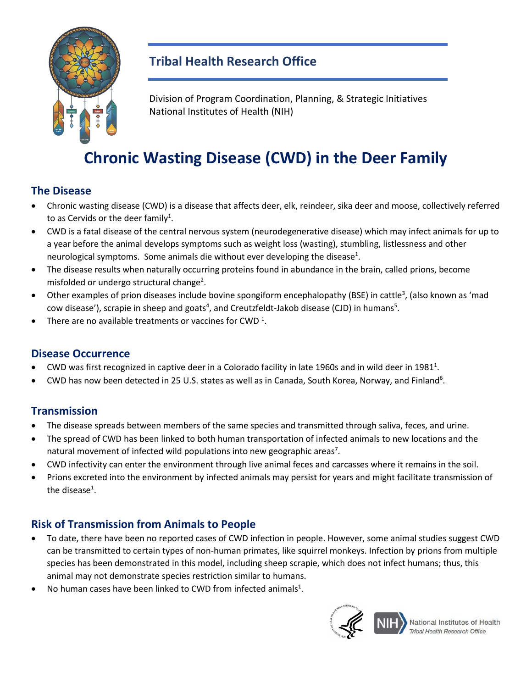

# **Tribal Health Research Office**

Division of Program Coordination, Planning, & Strategic Initiatives National Institutes of Health (NIH)

# **Chronic Wasting Disease (CWD) in the Deer Family**

#### **The Disease**

- • Chronic wasting disease (CWD) is a disease that affects deer, elk, reindeer, sika deer and moose, collectively referred to as Cervids or the deer family<sup>1</sup>.
- • CWD is a fatal disease of the central nervous system (neurodegenerative disease) which may infect animals for up to neurological symptoms. Some animals die without ever developing the disease<sup>1</sup>. a year before the animal develops symptoms such as weight loss (wasting), stumbling, listlessness and other
- • The disease results when naturally occurring proteins found in abundance in the brain, called prions, become misfolded or undergo structural change<sup>2</sup>.
- Other examples of prion diseases include bovine spongiform encephalopathy (BSE) in cattle<sup>3</sup>, (also known as 'mad cow disease'), scrapie in sheep and goats<sup>4</sup>, and Creutzfeldt-Jakob disease (CJD) in humans<sup>5</sup>.
- There are no available treatments or vaccines for CWD<sup>1</sup>.

#### **Disease Occurrence**

- $\bullet$  CWD was first recognized in captive deer in a Colorado facility in late 1960s and in wild deer in 1981<sup>1</sup>.
- CWD has now been detected in 25 U.S. states as well as in Canada, South Korea, Norway, and Finland<sup>6</sup>.

## **Transmission**

- The disease spreads between members of the same species and transmitted through saliva, feces, and urine.
- • The spread of CWD has been linked to both human transportation of infected animals to new locations and the natural movement of infected wild populations into new geographic areas<sup>7</sup>.
- CWD infectivity can enter the environment through live animal feces and carcasses where it remains in the soil.
- • Prions excreted into the environment by infected animals may persist for years and might facilitate transmission of the disease<sup>1</sup>.

## **Risk of Transmission from Animals to People**

- species has been demonstrated in this model, including sheep scrapie, which does not infect humans; thus, this animal may not demonstrate species restriction similar to humans. • To date, there have been no reported cases of CWD infection in people. However, some animal studies suggest CWD can be transmitted to certain types of non-human primates, like squirrel monkeys. Infection by prions from multiple
- No human cases have been linked to CWD from infected animals<sup>1</sup>.



National Institutes of Health